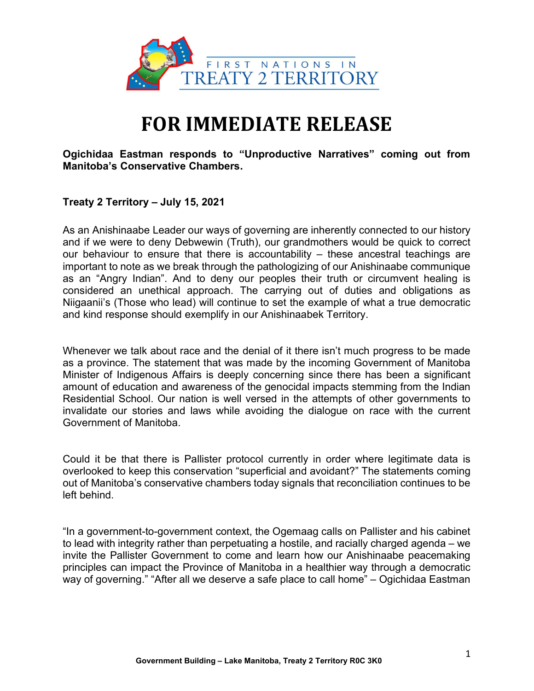

## FOR IMMEDIATE RELEASE

Ogichidaa Eastman responds to "Unproductive Narratives" coming out from Manitoba's Conservative Chambers.

## Treaty 2 Territory – July 15, 2021

As an Anishinaabe Leader our ways of governing are inherently connected to our history and if we were to deny Debwewin (Truth), our grandmothers would be quick to correct our behaviour to ensure that there is accountability – these ancestral teachings are important to note as we break through the pathologizing of our Anishinaabe communique as an "Angry Indian". And to deny our peoples their truth or circumvent healing is considered an unethical approach. The carrying out of duties and obligations as Niigaanii's (Those who lead) will continue to set the example of what a true democratic and kind response should exemplify in our Anishinaabek Territory.

Whenever we talk about race and the denial of it there isn't much progress to be made as a province. The statement that was made by the incoming Government of Manitoba Minister of Indigenous Affairs is deeply concerning since there has been a significant amount of education and awareness of the genocidal impacts stemming from the Indian Residential School. Our nation is well versed in the attempts of other governments to invalidate our stories and laws while avoiding the dialogue on race with the current Government of Manitoba.

Could it be that there is Pallister protocol currently in order where legitimate data is overlooked to keep this conservation "superficial and avoidant?" The statements coming out of Manitoba's conservative chambers today signals that reconciliation continues to be left behind.

"In a government-to-government context, the Ogemaag calls on Pallister and his cabinet to lead with integrity rather than perpetuating a hostile, and racially charged agenda – we invite the Pallister Government to come and learn how our Anishinaabe peacemaking principles can impact the Province of Manitoba in a healthier way through a democratic way of governing." "After all we deserve a safe place to call home" – Ogichidaa Eastman